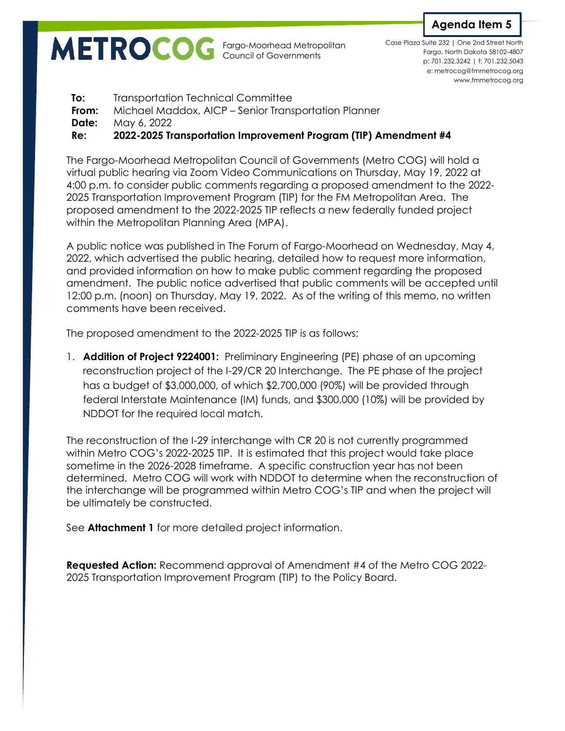Fargo-Moorhead Metropolitan Council of Governments



p: 701.232.3242 | f: 701.232.5043 e: metrocog@fmmetrocog.org www.fmmetrocog.org Case Plaza Suite 232 | One 2nd Street North Fargo, North Dakota 58102-4807

**To:** Transportation Technical Committee **From:** Michael Maddox, AICP – Senior Transportation Planner **Date:** May 6, 2022 **Re: 2022-2025 Transportation Improvement Program (TIP) Amendment #4**

The Fargo-Moorhead Metropolitan Council of Governments (Metro COG) will hold a virtual public hearing via Zoom Video Communications on Thursday, May 19, 2022 at 4:00 p.m. to consider public comments regarding a proposed amendment to the 2022- 2025 Transportation Improvement Program (TIP) for the FM Metropolitan Area. The proposed amendment to the 2022-2025 TIP reflects a new federally funded project within the Metropolitan Planning Area (MPA).

A public notice was published in The Forum of Fargo-Moorhead on Wednesday, May 4, 2022, which advertised the public hearing, detailed how to request more information, and provided information on how to make public comment regarding the proposed amendment. The public notice advertised that public comments will be accepted until 12:00 p.m. (noon) on Thursday, May 19, 2022. As of the writing of this memo, no written comments have been received.

The proposed amendment to the 2022-2025 TIP is as follows:

1. **Addition of Project 9224001:** Preliminary Engineering (PE) phase of an upcoming reconstruction project of the I-29/CR 20 Interchange. The PE phase of the project has a budget of \$3,000,000, of which \$2,700,000 (90%) will be provided through federal Interstate Maintenance (IM) funds, and \$300,000 (10%) will be provided by NDDOT for the required local match.

The reconstruction of the I-29 interchange with CR 20 is not currently programmed within Metro COG's 2022-2025 TIP. It is estimated that this project would take place sometime in the 2026-2028 timeframe. A specific construction year has not been determined. Metro COG will work with NDDOT to determine when the reconstruction of the interchange will be programmed within Metro COG's TIP and when the project will be ultimately be constructed.

See **Attachment 1** for more detailed project information.

**Requested Action:** Recommend approval of Amendment #4 of the Metro COG 2022- 2025 Transportation Improvement Program (TIP) to the Policy Board.